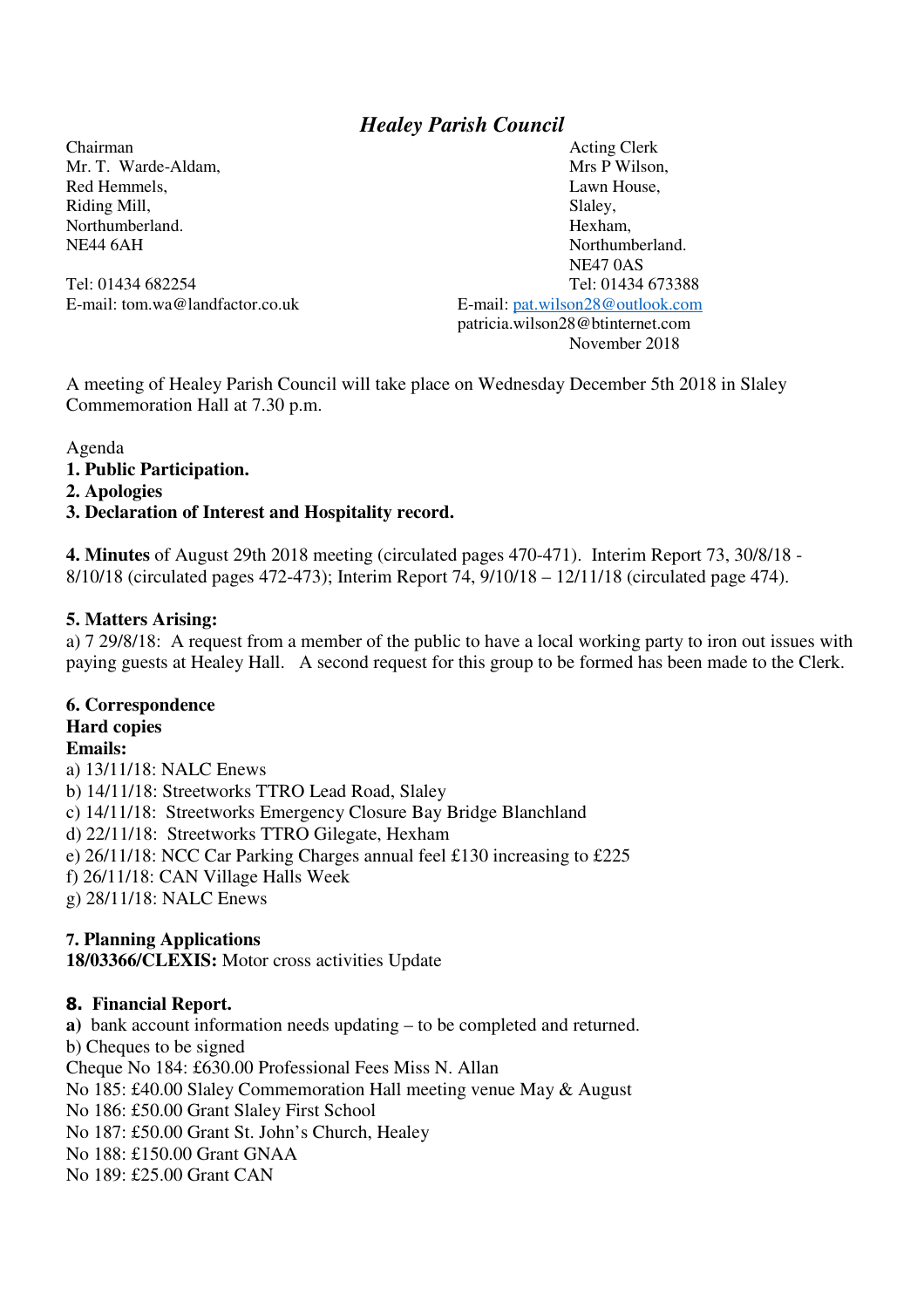# *Healey Parish Council*

Riding Mill, Slaley,

Chairman Acting Clerk Mr. T. Warde-Aldam, N. M. Mrs P Wilson, N. Mrs P Wilson, N. Mrs P Wilson, N. Mrs P Wilson, N. Mrs P Wilson, N. M. M. 2004, N. M. 2004, N. M. 2004, N. M. 2004, N. M. 2004, N. M. 2004, N. M. 2004, N. M. 2004, N. M. 2004, N. Red Hemmels, **Lawn House**, **Lawn House**, Northumberland. Hexham, NE44 6AH Northumberland. NE47 0AS Tel: 01434 682254 Tel: 01434 673388 E-mail: tom.wa@landfactor.co.uk E-mail: pat.wilson28@outlook.com patricia.wilson28@btinternet.com November 2018

A meeting of Healey Parish Council will take place on Wednesday December 5th 2018 in Slaley Commemoration Hall at 7.30 p.m.

Agenda

**1. Public Participation.** 

**2. Apologies** 

#### **3. Declaration of Interest and Hospitality record.**

**4. Minutes** of August 29th 2018 meeting (circulated pages 470-471). Interim Report 73, 30/8/18 - 8/10/18 (circulated pages 472-473); Interim Report 74, 9/10/18 – 12/11/18 (circulated page 474).

#### **5. Matters Arising:**

a) 7 29/8/18: A request from a member of the public to have a local working party to iron out issues with paying guests at Healey Hall. A second request for this group to be formed has been made to the Clerk.

## **6. Correspondence**

# **Hard copies**

**Emails:** 

a) 13/11/18: NALC Enews b) 14/11/18: Streetworks TTRO Lead Road, Slaley c) 14/11/18: Streetworks Emergency Closure Bay Bridge Blanchland d) 22/11/18: Streetworks TTRO Gilegate, Hexham e) 26/11/18: NCC Car Parking Charges annual feel £130 increasing to £225 f) 26/11/18: CAN Village Halls Week g) 28/11/18: NALC Enews

### **7. Planning Applications**

**18/03366/CLEXIS:** Motor cross activities Update

### **8. Financial Report.**

**a)** bank account information needs updating – to be completed and returned. b) Cheques to be signed Cheque No 184: £630.00 Professional Fees Miss N. Allan No 185: £40.00 Slaley Commemoration Hall meeting venue May & August No 186: £50.00 Grant Slaley First School No 187: £50.00 Grant St. John's Church, Healey No 188: £150.00 Grant GNAA No 189: £25.00 Grant CAN